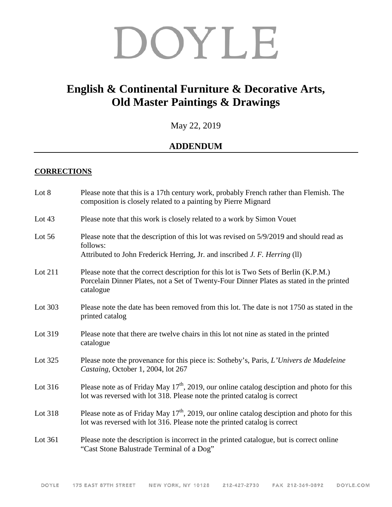# DOYLE

## **English & Continental Furniture & Decorative Arts, Old Master Paintings & Drawings**

May 22, 2019

### **ADDENDUM**

#### **CORRECTIONS**

| Lot 8    | Please note that this is a 17th century work, probably French rather than Flemish. The<br>composition is closely related to a painting by Pierre Mignard                                      |
|----------|-----------------------------------------------------------------------------------------------------------------------------------------------------------------------------------------------|
| Lot $43$ | Please note that this work is closely related to a work by Simon Vouet                                                                                                                        |
| Lot $56$ | Please note that the description of this lot was revised on 5/9/2019 and should read as<br>follows:<br>Attributed to John Frederick Herring, Jr. and inscribed J. F. Herring (ll)             |
| Lot 211  | Please note that the correct description for this lot is Two Sets of Berlin (K.P.M.)<br>Porcelain Dinner Plates, not a Set of Twenty-Four Dinner Plates as stated in the printed<br>catalogue |
| Lot 303  | Please note the date has been removed from this lot. The date is not 1750 as stated in the<br>printed catalog                                                                                 |
| Lot 319  | Please note that there are twelve chairs in this lot not nine as stated in the printed<br>catalogue                                                                                           |
| Lot 325  | Please note the provenance for this piece is: Sotheby's, Paris, L'Univers de Madeleine<br>Castaing, October 1, 2004, lot 267                                                                  |
| Lot 316  | Please note as of Friday May $17th$ , 2019, our online catalog desciption and photo for this<br>lot was reversed with lot 318. Please note the printed catalog is correct                     |
| Lot 318  | Please note as of Friday May $17th$ , 2019, our online catalog desciption and photo for this<br>lot was reversed with lot 316. Please note the printed catalog is correct                     |
| Lot 361  | Please note the description is incorrect in the printed catalogue, but is correct online<br>"Cast Stone Balustrade Terminal of a Dog"                                                         |
|          |                                                                                                                                                                                               |